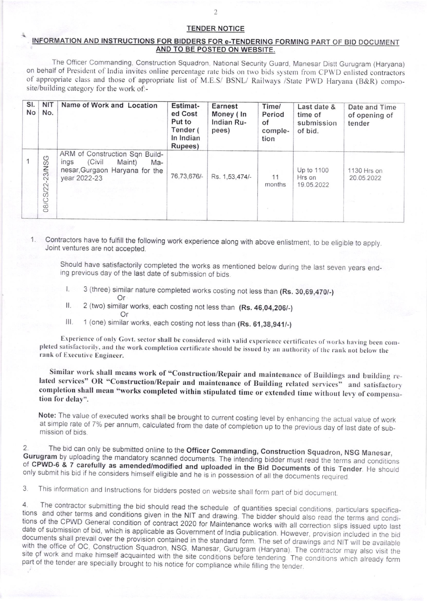## TENDER NOTICE

## INFORMATION AND INSTRUCTIONS FOR BIDDERS FOR e-TENDERING FORMING PART OF BID DOCUMENT AND TO BE POSTED ON WEBSITE.

The Officer Commanding, Construction Squadron. National Security Guard, Manesar Distt Gurugram (Haryana) on behalf of President of India invites online percentage rate bids on two bids system from CPWD enlisted contractors of appropriate class and those of appropriate list of M.E.S/ BSNL/ Railways /Srare PWD Haryana (B&R) composite/building category for the work of:-

| SI.<br>No | <b>NIT</b><br>No.                     | Name of Work and Location                                                                                           | Estimat-<br>ed Cost<br>Put to<br>Tender (<br>In Indian<br>Rupees) | <b>Earnest</b><br>Money (In<br>Indian Ru-<br>pees) | Time/<br>Period<br>of<br>comple-<br>tion | Last date &<br>time of<br>submission<br>of bid. | Date and Time<br>of opening of<br>tender |
|-----------|---------------------------------------|---------------------------------------------------------------------------------------------------------------------|-------------------------------------------------------------------|----------------------------------------------------|------------------------------------------|-------------------------------------------------|------------------------------------------|
|           | $\circ$<br>$-23$<br>$N$ S<br>08/CS/22 | ARM of Construction Sqn Build-<br>(Civil<br>Maint)<br>ings<br>Ma-<br>nesar, Gurgaon Haryana for the<br>year 2022-23 | 76.73.676/-                                                       | Rs. 1,53,474/-                                     | 11<br>months                             | Up to 1100<br>Hrs on<br>19.05.2022              | 1130 Hrs on<br>20.05.2022                |

## 1. Contractors have to fulfill the following work experience along with above enlistment, to be eligible to apply.<br>Joint ventures are not accepted.

Should have satisfactorily completed the works as mentioned below during the last seven years end- ing previous day of the last date of submission of bids.

- 3 (three) similar nature completed works costing not less than (Rs. 30,69,470/-)<br>Or
- II.  $2$  (two) similar works, each costing not less than (Rs. 46,04,206/-)
- III. 1 (one) similar works, each costing not less than (Rs. 61,38,941/-)

Experience of only Govt. sector shall be considered with valid experience certificates of works having been completed satisfactorily, and the work completion certificate should be issued by an authority of the rank not bel

Similar work shall means work of "Construction/Repair and maintenance of Buildings and building related services" OR "Construction/Repair and maintenance of Building related services" and satisfactory completion shall mean

Note: The value of executed works shall be brought to current costing level by enhancing the actual value of work<br>at simple rate of 7% per annum, calculated from the date of completion up to the previous day of last date o

2. The bid can only be submitted online to the Officer Commanding, Construction Squadron, NSG Manesar, Gurugram by uploading the mandatory scanned documents. The intending bidder must read the terms and conditions of CPWD-

3. This information and Instructions for bidders posted on website shall form part of bid document.

4. The contractor submitting the bid should read the schedule of quantities special conditions, particulars specifica-<br>tions and other terms and conditions given in the NIT and drawing. The bidder should also read the term part of the tender are specially brought to his notice for compliance while filling the tender.